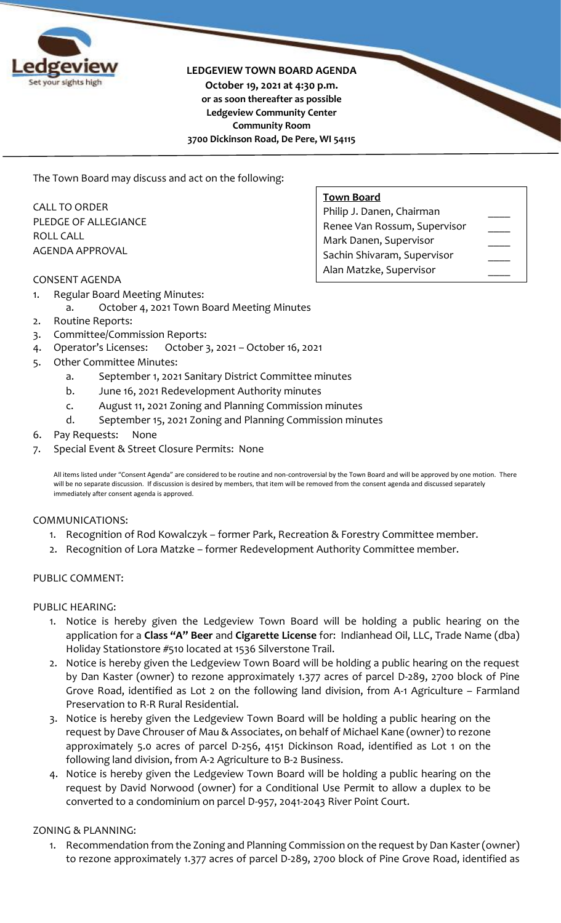

#### **LEDGEVIEW TOWN BOARD AGENDA**

**October 19, 2021 at 4:30 p.m. or as soon thereafter as possible Ledgeview Community Center Community Room 3700 Dickinson Road, De Pere, WI 54115**

The Town Board may discuss and act on the following:

CALL TO ORDER PLEDGE OF ALLEGIANCE ROLL CALL AGENDA APPROVAL

### CONSENT AGENDA

- 1. Regular Board Meeting Minutes:
	- a. October 4, 2021 Town Board Meeting Minutes
- 2. Routine Reports:
- 3. Committee/Commission Reports:
- 4. Operator's Licenses: October 3, 2021 October 16, 2021
- 5. Other Committee Minutes:
	- a. September 1, 2021 Sanitary District Committee minutes
	- b. June 16, 2021 Redevelopment Authority minutes
	- c. August 11, 2021 Zoning and Planning Commission minutes
	- d. September 15, 2021 Zoning and Planning Commission minutes
- 6. Pay Requests: None
- 7. Special Event & Street Closure Permits: None

All items listed under "Consent Agenda" are considered to be routine and non-controversial by the Town Board and will be approved by one motion. There will be no separate discussion. If discussion is desired by members, that item will be removed from the consent agenda and discussed separately immediately after consent agenda is approved.

#### COMMUNICATIONS:

- 1. Recognition of Rod Kowalczyk former Park, Recreation & Forestry Committee member.
- 2. Recognition of Lora Matzke former Redevelopment Authority Committee member.

#### PUBLIC COMMENT:

### PUBLIC HEARING:

- 1. Notice is hereby given the Ledgeview Town Board will be holding a public hearing on the application for a **Class "A" Beer** and **Cigarette License** for: Indianhead Oil, LLC, Trade Name (dba) Holiday Stationstore #510 located at 1536 Silverstone Trail.
- 2. Notice is hereby given the Ledgeview Town Board will be holding a public hearing on the request by Dan Kaster (owner) to rezone approximately 1.377 acres of parcel D-289, 2700 block of Pine Grove Road, identified as Lot 2 on the following land division, from A-1 Agriculture – Farmland Preservation to R-R Rural Residential.
- 3. Notice is hereby given the Ledgeview Town Board will be holding a public hearing on the request by Dave Chrouser of Mau & Associates, on behalf of Michael Kane (owner) to rezone approximately 5.0 acres of parcel D-256, 4151 Dickinson Road, identified as Lot 1 on the following land division, from A-2 Agriculture to B-2 Business.
- 4. Notice is hereby given the Ledgeview Town Board will be holding a public hearing on the request by David Norwood (owner) for a Conditional Use Permit to allow a duplex to be converted to a condominium on parcel D-957, 2041-2043 River Point Court.

## ZONING & PLANNING:

1. Recommendation from the Zoning and Planning Commission on the request by Dan Kaster (owner) to rezone approximately 1.377 acres of parcel D-289, 2700 block of Pine Grove Road, identified as

| Philip J. Danen, Chairman    |  |
|------------------------------|--|
| Renee Van Rossum, Supervisor |  |
| Mark Danen, Supervisor       |  |
| Sachin Shivaram, Supervisor  |  |
| Alan Matzke, Supervisor      |  |

**Town Board**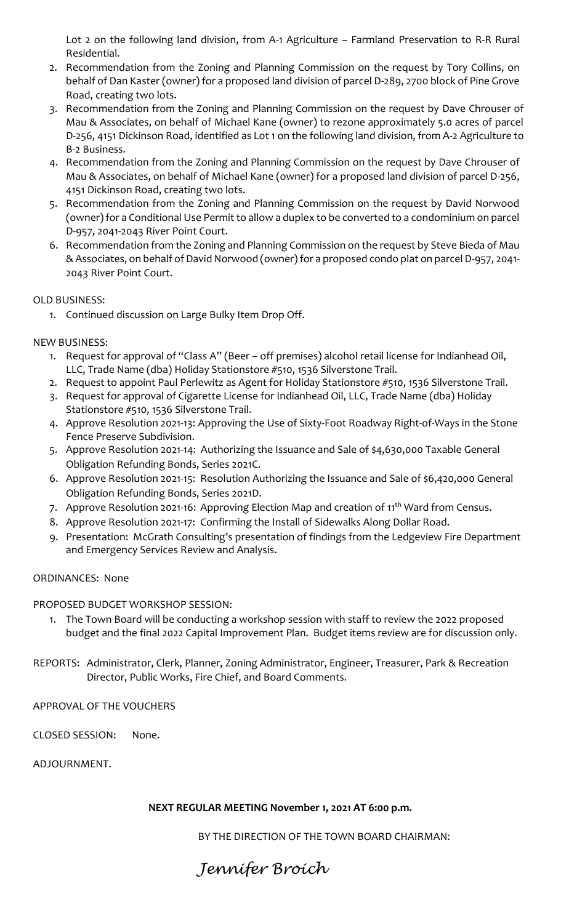Lot 2 on the following land division, from A-1 Agriculture – Farmland Preservation to R-R Rural Residential.

- 2. Recommendation from the Zoning and Planning Commission on the request by Tory Collins, on behalf of Dan Kaster (owner) for a proposed land division of parcel D-289, 2700 block of Pine Grove Road, creating two lots.
- 3. Recommendation from the Zoning and Planning Commission on the request by Dave Chrouser of Mau & Associates, on behalf of Michael Kane (owner) to rezone approximately 5.0 acres of parcel D-256, 4151 Dickinson Road, identified as Lot 1 on the following land division, from A-2 Agriculture to B-2 Business.
- 4. Recommendation from the Zoning and Planning Commission on the request by Dave Chrouser of Mau & Associates, on behalf of Michael Kane (owner) for a proposed land division of parcel D-256, 4151 Dickinson Road, creating two lots.
- 5. Recommendation from the Zoning and Planning Commission on the request by David Norwood (owner) for a Conditional Use Permit to allow a duplex to be converted to a condominium on parcel D-957, 2041-2043 River Point Court.
- 6. Recommendation from the Zoning and Planning Commission on the request by Steve Bieda of Mau & Associates, on behalf of David Norwood (owner) for a proposed condo plat on parcel D-957, 2041- 2043 River Point Court.

# OLD BUSINESS:

1. Continued discussion on Large Bulky Item Drop Off.

# NEW BUSINESS:

- 1. Request for approval of "Class A" (Beer off premises) alcohol retail license for Indianhead Oil, LLC, Trade Name (dba) Holiday Stationstore #510, 1536 Silverstone Trail.
- 2. Request to appoint Paul Perlewitz as Agent for Holiday Stationstore #510, 1536 Silverstone Trail.
- 3. Request for approval of Cigarette License for Indianhead Oil, LLC, Trade Name (dba) Holiday Stationstore #510, 1536 Silverstone Trail.
- 4. Approve Resolution 2021-13: Approving the Use of Sixty-Foot Roadway Right-of-Ways in the Stone Fence Preserve Subdivision.
- 5. Approve Resolution 2021-14: Authorizing the Issuance and Sale of \$4,630,000 Taxable General Obligation Refunding Bonds, Series 2021C.
- 6. Approve Resolution 2021-15: Resolution Authorizing the Issuance and Sale of \$6,420,000 General Obligation Refunding Bonds, Series 2021D.
- 7. Approve Resolution 2021-16: Approving Election Map and creation of 11<sup>th</sup> Ward from Census.
- 8. Approve Resolution 2021-17: Confirming the Install of Sidewalks Along Dollar Road.
- 9. Presentation: McGrath Consulting's presentation of findings from the Ledgeview Fire Department and Emergency Services Review and Analysis.

## ORDINANCES: None

PROPOSED BUDGET WORKSHOP SESSION:

- 1. The Town Board will be conducting a workshop session with staff to review the 2022 proposed budget and the final 2022 Capital Improvement Plan. Budget items review are for discussion only.
- REPORTS: Administrator, Clerk, Planner, Zoning Administrator, Engineer, Treasurer, Park & Recreation Director, Public Works, Fire Chief, and Board Comments.

APPROVAL OF THE VOUCHERS

CLOSED SESSION: None.

ADJOURNMENT.

## **NEXT REGULAR MEETING November 1, 2021 AT 6:00 p.m.**

BY THE DIRECTION OF THE TOWN BOARD CHAIRMAN: